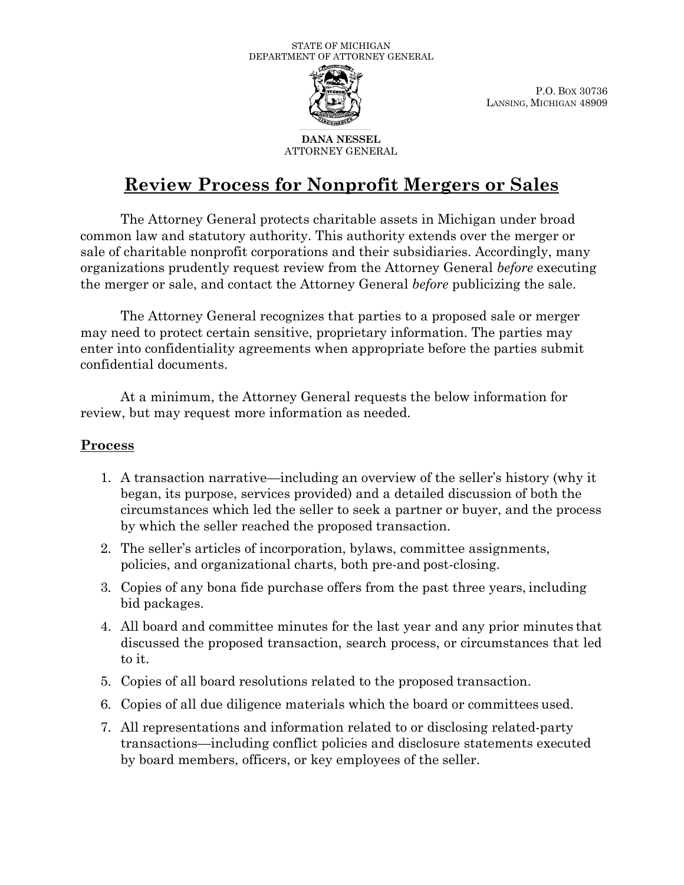

P.O. BOX 30736 LANSING, MICHIGAN 48909

**DANA NESSEL** ATTORNEY GENERAL

# **Review Process for Nonprofit Mergers or Sales**

The Attorney General protects charitable assets in Michigan under broad common law and statutory authority. This authority extends over the merger or sale of charitable nonprofit corporations and their subsidiaries. Accordingly, many organizations prudently request review from the Attorney General *before* executing the merger or sale, and contact the Attorney General *before* publicizing the sale.

The Attorney General recognizes that parties to a proposed sale or merger may need to protect certain sensitive, proprietary information. The parties may enter into confidentiality agreements when appropriate before the parties submit confidential documents.

At a minimum, the Attorney General requests the below information for review, but may request more information as needed.

## **Process**

- 1. A transaction narrative—including an overview of the seller's history (why it began, its purpose, services provided) and a detailed discussion of both the circumstances which led the seller to seek a partner or buyer, and the process by which the seller reached the proposed transaction.
- 2. The seller's articles of incorporation, bylaws, committee assignments, policies, and organizational charts, both pre-and post-closing.
- 3. Copies of any bona fide purchase offers from the past three years, including bid packages.
- 4. All board and committee minutes for the last year and any prior minutes that discussed the proposed transaction, search process, or circumstances that led to it.
- 5. Copies of all board resolutions related to the proposed transaction.
- 6. Copies of all due diligence materials which the board or committees used.
- 7. All representations and information related to or disclosing related-party transactions—including conflict policies and disclosure statements executed by board members, officers, or key employees of the seller.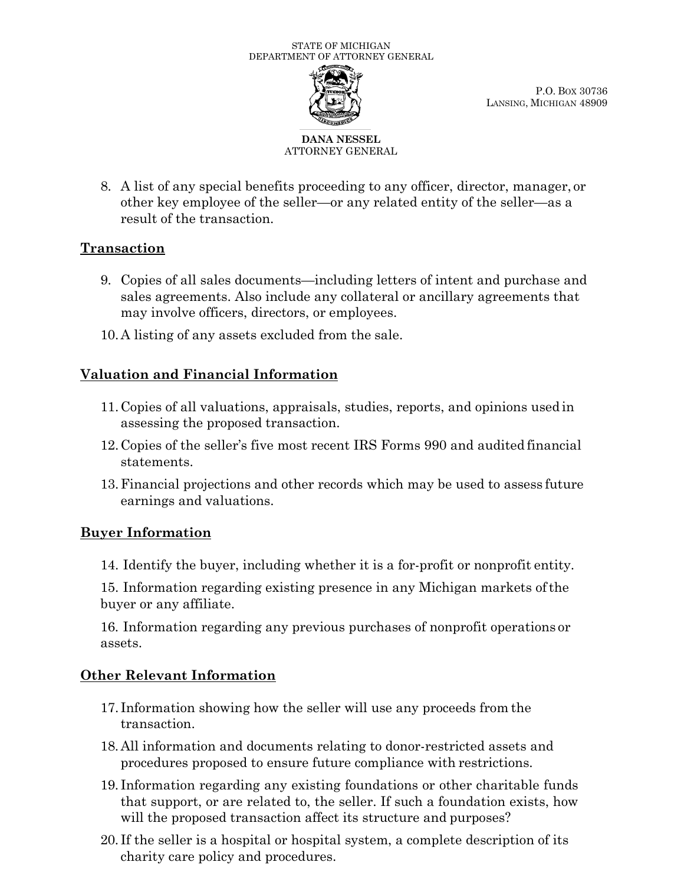

P.O. BOX 30736 LANSING, MICHIGAN 48909

#### **DANA NESSEL** ATTORNEY GENERAL

8. A list of any special benefits proceeding to any officer, director, manager, or other key employee of the seller—or any related entity of the seller—as a result of the transaction.

## **Transaction**

- 9. Copies of all sales documents—including letters of intent and purchase and sales agreements. Also include any collateral or ancillary agreements that may involve officers, directors, or employees.
- 10.A listing of any assets excluded from the sale.

# **Valuation and Financial Information**

- 11.Copies of all valuations, appraisals, studies, reports, and opinions used in assessing the proposed transaction.
- 12.Copies of the seller's five most recent IRS Forms 990 and audited financial statements.
- 13.Financial projections and other records which may be used to assess future earnings and valuations.

## **Buyer Information**

14. Identify the buyer, including whether it is a for-profit or nonprofit entity.

15. Information regarding existing presence in any Michigan markets ofthe buyer or any affiliate.

16. Information regarding any previous purchases of nonprofit operations or assets.

## **Other Relevant Information**

- 17. Information showing how the seller will use any proceeds from the transaction.
- 18.All information and documents relating to donor-restricted assets and procedures proposed to ensure future compliance with restrictions.
- 19. Information regarding any existing foundations or other charitable funds that support, or are related to, the seller. If such a foundation exists, how will the proposed transaction affect its structure and purposes?
- 20. If the seller is a hospital or hospital system, a complete description of its charity care policy and procedures.